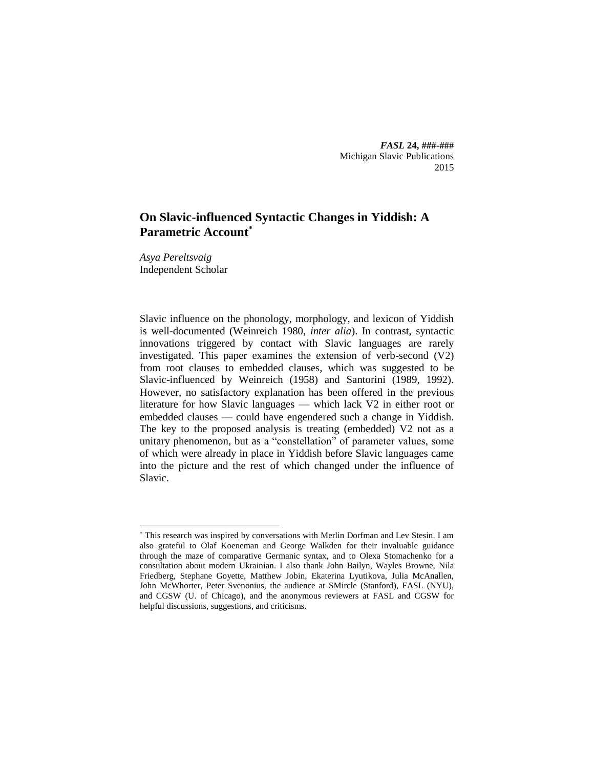*FASL* **24, ###-###** Michigan Slavic Publications 2015

# **On Slavic-influenced Syntactic Changes in Yiddish: A Parametric Account\***

*Asya Pereltsvaig* Independent Scholar

 $\overline{a}$ 

Slavic influence on the phonology, morphology, and lexicon of Yiddish is well-documented (Weinreich 1980, *inter alia*). In contrast, syntactic innovations triggered by contact with Slavic languages are rarely investigated. This paper examines the extension of verb-second (V2) from root clauses to embedded clauses, which was suggested to be Slavic-influenced by Weinreich (1958) and Santorini (1989, 1992). However, no satisfactory explanation has been offered in the previous literature for how Slavic languages — which lack V2 in either root or embedded clauses — could have engendered such a change in Yiddish. The key to the proposed analysis is treating (embedded) V2 not as a unitary phenomenon, but as a "constellation" of parameter values, some of which were already in place in Yiddish before Slavic languages came into the picture and the rest of which changed under the influence of Slavic.

<sup>\*</sup> This research was inspired by conversations with Merlin Dorfman and Lev Stesin. I am also grateful to Olaf Koeneman and George Walkden for their invaluable guidance through the maze of comparative Germanic syntax, and to Olexa Stomachenko for a consultation about modern Ukrainian. I also thank John Bailyn, Wayles Browne, Nila Friedberg, Stephane Goyette, Matthew Jobin, Ekaterina Lyutikova, Julia McAnallen, John McWhorter, Peter Svenonius, the audience at SMircle (Stanford), FASL (NYU), and CGSW (U. of Chicago), and the anonymous reviewers at FASL and CGSW for helpful discussions, suggestions, and criticisms.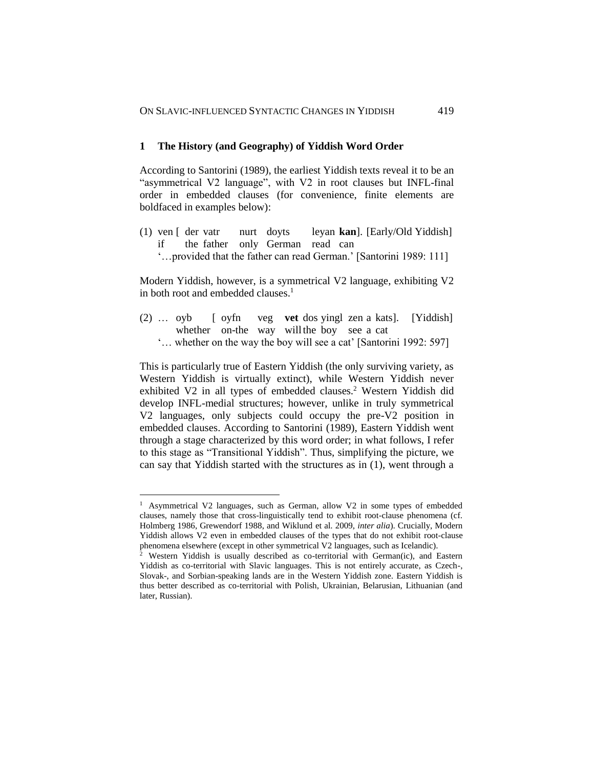## **1 The History (and Geography) of Yiddish Word Order**

According to Santorini (1989), the earliest Yiddish texts reveal it to be an "asymmetrical V2 language", with V2 in root clauses but INFL-final order in embedded clauses (for convenience, finite elements are boldfaced in examples below):

(1) ven [ der vatr nurt doyts leyan **kan**]. [Early/Old Yiddish] if the father only German read can '…provided that the father can read German.' [Santorini 1989: 111]

Modern Yiddish, however, is a symmetrical V2 language, exhibiting V2 in both root and embedded clauses. 1

- (2) … oyb [ oyfn veg **vet** dos yingl zen a kats]. [Yiddish] whether on-the way will the boy see a cat
	- '… whether on the way the boy will see a cat' [Santorini 1992: 597]

This is particularly true of Eastern Yiddish (the only surviving variety, as Western Yiddish is virtually extinct), while Western Yiddish never exhibited V2 in all types of embedded clauses.<sup>2</sup> Western Yiddish did develop INFL-medial structures; however, unlike in truly symmetrical V2 languages, only subjects could occupy the pre-V2 position in embedded clauses. According to Santorini (1989), Eastern Yiddish went through a stage characterized by this word order; in what follows, I refer to this stage as "Transitional Yiddish". Thus, simplifying the picture, we can say that Yiddish started with the structures as in (1), went through a

<sup>&</sup>lt;sup>1</sup> Asymmetrical V2 languages, such as German, allow V2 in some types of embedded clauses, namely those that cross-linguistically tend to exhibit root-clause phenomena (cf. Holmberg 1986, Grewendorf 1988, and Wiklund et al. 2009, *inter alia*). Crucially, Modern Yiddish allows V2 even in embedded clauses of the types that do not exhibit root-clause phenomena elsewhere (except in other symmetrical V2 languages, such as Icelandic).

<sup>&</sup>lt;sup>2</sup> Western Yiddish is usually described as co-territorial with German(ic), and Eastern Yiddish as co-territorial with Slavic languages. This is not entirely accurate, as Czech-, Slovak-, and Sorbian-speaking lands are in the Western Yiddish zone. Eastern Yiddish is thus better described as co-territorial with Polish, Ukrainian, Belarusian, Lithuanian (and later, Russian).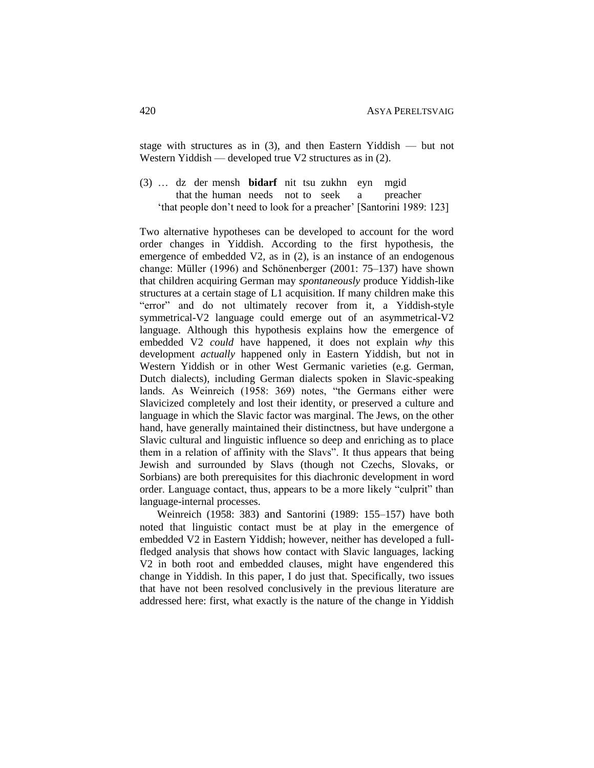stage with structures as in (3), and then Eastern Yiddish — but not Western Yiddish — developed true V2 structures as in (2).

(3) … dz der mensh **bidarf** nit tsu zukhn eyn mgid that the human needs not to seek a preacher 'that people don't need to look for a preacher' [Santorini 1989: 123]

Two alternative hypotheses can be developed to account for the word order changes in Yiddish. According to the first hypothesis, the emergence of embedded V2, as in (2), is an instance of an endogenous change: Müller (1996) and Schönenberger (2001: 75–137) have shown that children acquiring German may *spontaneously* produce Yiddish-like structures at a certain stage of L1 acquisition. If many children make this "error" and do not ultimately recover from it, a Yiddish-style symmetrical-V2 language could emerge out of an asymmetrical-V2 language. Although this hypothesis explains how the emergence of embedded V2 *could* have happened, it does not explain *why* this development *actually* happened only in Eastern Yiddish, but not in Western Yiddish or in other West Germanic varieties (e.g. German, Dutch dialects), including German dialects spoken in Slavic-speaking lands. As Weinreich (1958: 369) notes, "the Germans either were Slavicized completely and lost their identity, or preserved a culture and language in which the Slavic factor was marginal. The Jews, on the other hand, have generally maintained their distinctness, but have undergone a Slavic cultural and linguistic influence so deep and enriching as to place them in a relation of affinity with the Slavs". It thus appears that being Jewish and surrounded by Slavs (though not Czechs, Slovaks, or Sorbians) are both prerequisites for this diachronic development in word order. Language contact, thus, appears to be a more likely "culprit" than language-internal processes.

Weinreich (1958: 383) and Santorini (1989: 155–157) have both noted that linguistic contact must be at play in the emergence of embedded V2 in Eastern Yiddish; however, neither has developed a fullfledged analysis that shows how contact with Slavic languages, lacking V2 in both root and embedded clauses, might have engendered this change in Yiddish. In this paper, I do just that. Specifically, two issues that have not been resolved conclusively in the previous literature are addressed here: first, what exactly is the nature of the change in Yiddish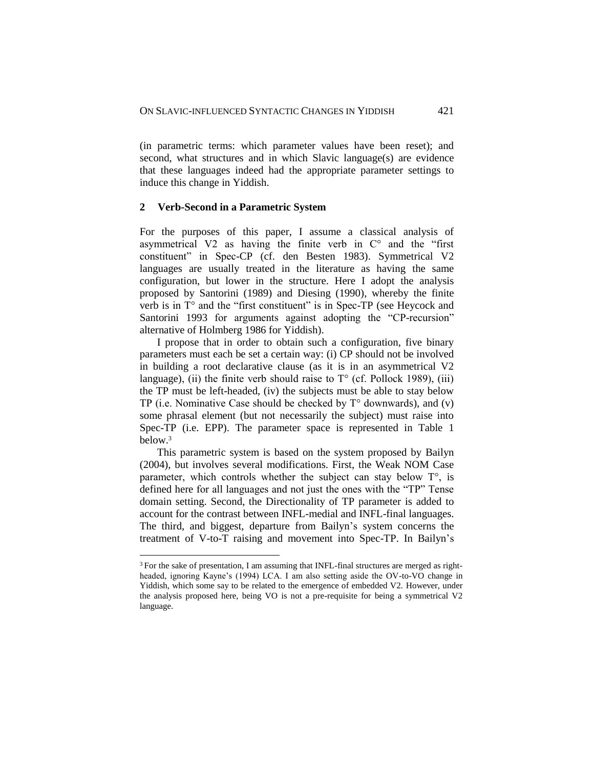(in parametric terms: which parameter values have been reset); and second, what structures and in which Slavic language(s) are evidence that these languages indeed had the appropriate parameter settings to induce this change in Yiddish.

## **2 Verb-Second in a Parametric System**

 $\overline{a}$ 

For the purposes of this paper, I assume a classical analysis of asymmetrical V2 as having the finite verb in  $C<sup>o</sup>$  and the "first constituent" in Spec-CP (cf. den Besten 1983). Symmetrical V2 languages are usually treated in the literature as having the same configuration, but lower in the structure. Here I adopt the analysis proposed by Santorini (1989) and Diesing (1990), whereby the finite verb is in  $T<sup>o</sup>$  and the "first constituent" is in Spec-TP (see Heycock and Santorini 1993 for arguments against adopting the "CP-recursion" alternative of Holmberg 1986 for Yiddish).

I propose that in order to obtain such a configuration, five binary parameters must each be set a certain way: (i) CP should not be involved in building a root declarative clause (as it is in an asymmetrical V2 language), (ii) the finite verb should raise to  $T^{\circ}$  (cf. Pollock 1989), (iii) the TP must be left-headed, (iv) the subjects must be able to stay below TP (i.e. Nominative Case should be checked by  $T^{\circ}$  downwards), and (v) some phrasal element (but not necessarily the subject) must raise into Spec-TP (i.e. EPP). The parameter space is represented in Table 1 below. 3

This parametric system is based on the system proposed by Bailyn (2004), but involves several modifications. First, the Weak NOM Case parameter, which controls whether the subject can stay below T°, is defined here for all languages and not just the ones with the "TP" Tense domain setting. Second, the Directionality of TP parameter is added to account for the contrast between INFL-medial and INFL-final languages. The third, and biggest, departure from Bailyn's system concerns the treatment of V-to-T raising and movement into Spec-TP. In Bailyn's

<sup>3</sup> For the sake of presentation, I am assuming that INFL-final structures are merged as rightheaded, ignoring Kayne's (1994) LCA. I am also setting aside the OV-to-VO change in Yiddish, which some say to be related to the emergence of embedded V2. However, under the analysis proposed here, being VO is not a pre-requisite for being a symmetrical V2 language.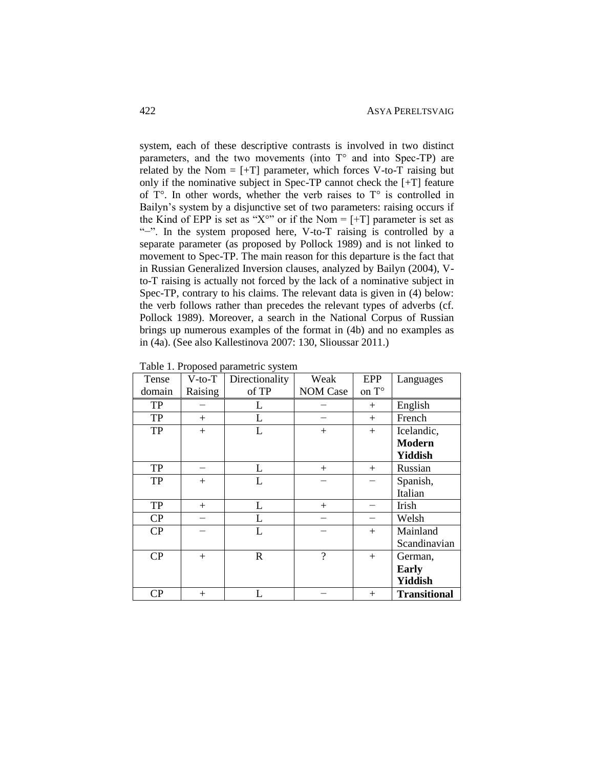system, each of these descriptive contrasts is involved in two distinct parameters, and the two movements (into T° and into Spec-TP) are related by the Nom  $=$   $[+T]$  parameter, which forces V-to-T raising but only if the nominative subject in Spec-TP cannot check the [+T] feature of  $T^{\circ}$ . In other words, whether the verb raises to  $T^{\circ}$  is controlled in Bailyn's system by a disjunctive set of two parameters: raising occurs if the Kind of EPP is set as "X°" or if the Nom =  $[+T]$  parameter is set as "−". In the system proposed here, V-to-T raising is controlled by a separate parameter (as proposed by Pollock 1989) and is not linked to movement to Spec-TP. The main reason for this departure is the fact that in Russian Generalized Inversion clauses, analyzed by Bailyn (2004), Vto-T raising is actually not forced by the lack of a nominative subject in Spec-TP, contrary to his claims. The relevant data is given in (4) below: the verb follows rather than precedes the relevant types of adverbs (cf. Pollock 1989). Moreover, a search in the National Corpus of Russian brings up numerous examples of the format in (4b) and no examples as in (4a). (See also Kallestinova 2007: 130, Slioussar 2011.)

| Tense      | $V$ -to- $T$ | Directionality | Weak            | EPP    | Languages           |
|------------|--------------|----------------|-----------------|--------|---------------------|
| domain     | Raising      | of TP          | <b>NOM Case</b> | on T°  |                     |
| ${\rm TP}$ |              | L              |                 | $^{+}$ | English             |
| TP         | $+$          | L              |                 | $^{+}$ | French              |
| TP         | $+$          | L              | $+$             | $+$    | Icelandic,          |
|            |              |                |                 |        | <b>Modern</b>       |
|            |              |                |                 |        | <b>Yiddish</b>      |
| TP         |              | L              | $^{+}$          | $+$    | Russian             |
| TP         | $+$          |                |                 |        | Spanish,            |
|            |              |                |                 |        | Italian             |
| TP         | $+$          | L              | $+$             |        | Irish               |
| CP         |              | L              |                 |        | Welsh               |
| CP         |              | L              |                 | $+$    | Mainland            |
|            |              |                |                 |        | Scandinavian        |
| CP         | $+$          | $\mathbf R$    | $\gamma$        | $+$    | German,             |
|            |              |                |                 |        | <b>Early</b>        |
|            |              |                |                 |        | Yiddish             |
| CP         | $+$          | L              |                 | $^{+}$ | <b>Transitional</b> |

Table 1. Proposed parametric system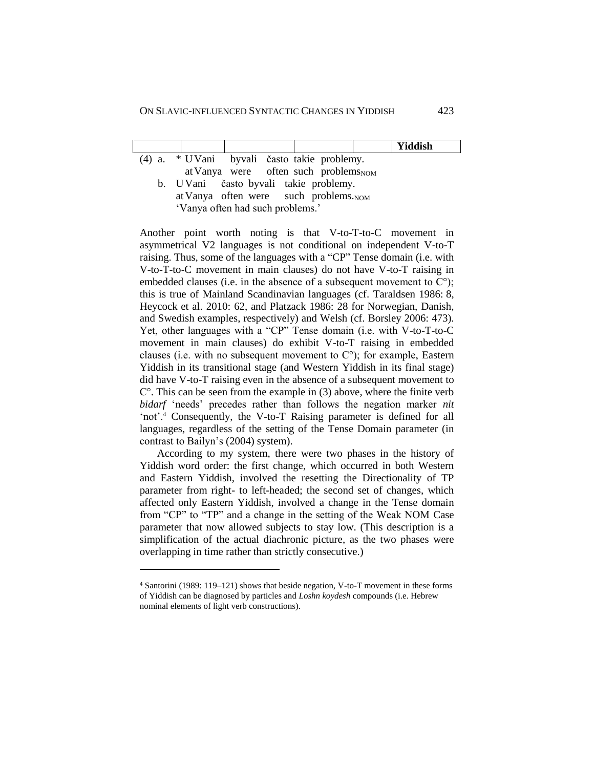|                                                   | Yiddish |
|---------------------------------------------------|---------|
| (4) a. * UVani byvali často takie problemy.       |         |
| at Vanya were often such problems NOM             |         |
| b. UVani často byvali takie problemy.             |         |
| at Vanya often were such problems. <sub>NOM</sub> |         |
| .                                                 |         |

'Vanya often had such problems.'

Another point worth noting is that V-to-T-to-C movement in asymmetrical V2 languages is not conditional on independent V-to-T raising. Thus, some of the languages with a "CP" Tense domain (i.e. with V-to-T-to-C movement in main clauses) do not have V-to-T raising in embedded clauses (i.e. in the absence of a subsequent movement to  $C^{\circ}$ ); this is true of Mainland Scandinavian languages (cf. Taraldsen 1986: 8, Heycock et al. 2010: 62, and Platzack 1986: 28 for Norwegian, Danish, and Swedish examples, respectively) and Welsh (cf. Borsley 2006: 473). Yet, other languages with a "CP" Tense domain (i.e. with V-to-T-to-C movement in main clauses) do exhibit V-to-T raising in embedded clauses (i.e. with no subsequent movement to  $C^{\circ}$ ); for example, Eastern Yiddish in its transitional stage (and Western Yiddish in its final stage) did have V-to-T raising even in the absence of a subsequent movement to  $C^{\circ}$ . This can be seen from the example in (3) above, where the finite verb *bidarf* 'needs' precedes rather than follows the negation marker *nit* 'not'.<sup>4</sup> Consequently, the V-to-T Raising parameter is defined for all languages, regardless of the setting of the Tense Domain parameter (in contrast to Bailyn's (2004) system).

According to my system, there were two phases in the history of Yiddish word order: the first change, which occurred in both Western and Eastern Yiddish, involved the resetting the Directionality of TP parameter from right- to left-headed; the second set of changes, which affected only Eastern Yiddish, involved a change in the Tense domain from "CP" to "TP" and a change in the setting of the Weak NOM Case parameter that now allowed subjects to stay low. (This description is a simplification of the actual diachronic picture, as the two phases were overlapping in time rather than strictly consecutive.)

<sup>4</sup> Santorini (1989: 119–121) shows that beside negation, V-to-T movement in these forms of Yiddish can be diagnosed by particles and *Loshn koydesh* compounds (i.e. Hebrew nominal elements of light verb constructions).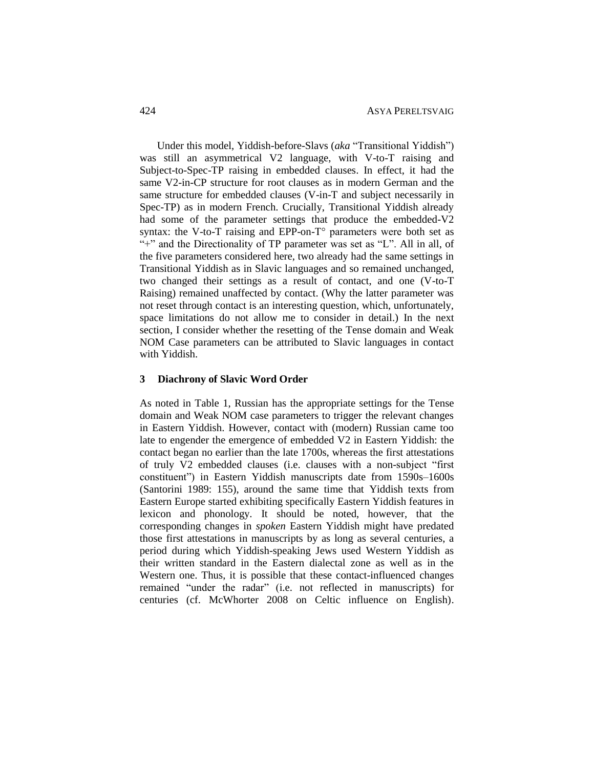Under this model, Yiddish-before-Slavs (*aka* "Transitional Yiddish") was still an asymmetrical V2 language, with V-to-T raising and Subject-to-Spec-TP raising in embedded clauses. In effect, it had the same V2-in-CP structure for root clauses as in modern German and the same structure for embedded clauses (V-in-T and subject necessarily in Spec-TP) as in modern French. Crucially, Transitional Yiddish already had some of the parameter settings that produce the embedded-V2 syntax: the V-to-T raising and EPP-on- $T^{\circ}$  parameters were both set as "+" and the Directionality of TP parameter was set as "L". All in all, of the five parameters considered here, two already had the same settings in Transitional Yiddish as in Slavic languages and so remained unchanged, two changed their settings as a result of contact, and one (V-to-T Raising) remained unaffected by contact. (Why the latter parameter was not reset through contact is an interesting question, which, unfortunately, space limitations do not allow me to consider in detail.) In the next section, I consider whether the resetting of the Tense domain and Weak NOM Case parameters can be attributed to Slavic languages in contact with Yiddish.

## **3 Diachrony of Slavic Word Order**

As noted in Table 1, Russian has the appropriate settings for the Tense domain and Weak NOM case parameters to trigger the relevant changes in Eastern Yiddish. However, contact with (modern) Russian came too late to engender the emergence of embedded V2 in Eastern Yiddish: the contact began no earlier than the late 1700s, whereas the first attestations of truly V2 embedded clauses (i.e. clauses with a non-subject "first constituent") in Eastern Yiddish manuscripts date from 1590s–1600s (Santorini 1989: 155), around the same time that Yiddish texts from Eastern Europe started exhibiting specifically Eastern Yiddish features in lexicon and phonology. It should be noted, however, that the corresponding changes in *spoken* Eastern Yiddish might have predated those first attestations in manuscripts by as long as several centuries, a period during which Yiddish-speaking Jews used Western Yiddish as their written standard in the Eastern dialectal zone as well as in the Western one. Thus, it is possible that these contact-influenced changes remained "under the radar" (i.e. not reflected in manuscripts) for centuries (cf. McWhorter 2008 on Celtic influence on English).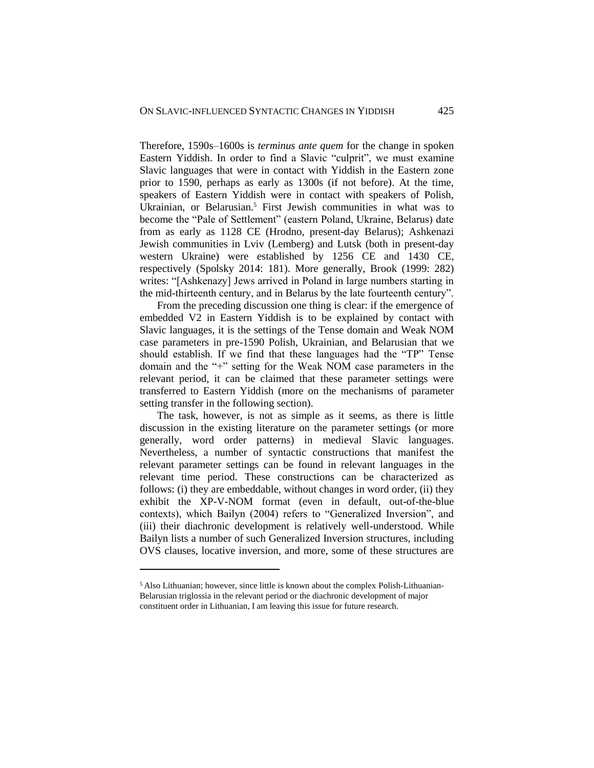Therefore, 1590s–1600s is *terminus ante quem* for the change in spoken Eastern Yiddish. In order to find a Slavic "culprit", we must examine Slavic languages that were in contact with Yiddish in the Eastern zone prior to 1590, perhaps as early as 1300s (if not before). At the time, speakers of Eastern Yiddish were in contact with speakers of Polish, Ukrainian, or Belarusian.<sup>5</sup> First Jewish communities in what was to become the "Pale of Settlement" (eastern Poland, Ukraine, Belarus) date from as early as 1128 CE (Hrodno, present-day Belarus); Ashkenazi Jewish communities in Lviv (Lemberg) and Lutsk (both in present-day western Ukraine) were established by 1256 CE and 1430 CE, respectively (Spolsky 2014: 181). More generally, Brook (1999: 282) writes: "[Ashkenazy] Jews arrived in Poland in large numbers starting in the mid-thirteenth century, and in Belarus by the late fourteenth century".

From the preceding discussion one thing is clear: if the emergence of embedded V2 in Eastern Yiddish is to be explained by contact with Slavic languages, it is the settings of the Tense domain and Weak NOM case parameters in pre-1590 Polish, Ukrainian, and Belarusian that we should establish. If we find that these languages had the "TP" Tense domain and the "+" setting for the Weak NOM case parameters in the relevant period, it can be claimed that these parameter settings were transferred to Eastern Yiddish (more on the mechanisms of parameter setting transfer in the following section).

The task, however, is not as simple as it seems, as there is little discussion in the existing literature on the parameter settings (or more generally, word order patterns) in medieval Slavic languages. Nevertheless, a number of syntactic constructions that manifest the relevant parameter settings can be found in relevant languages in the relevant time period. These constructions can be characterized as follows: (i) they are embeddable, without changes in word order, (ii) they exhibit the XP-V-NOM format (even in default, out-of-the-blue contexts), which Bailyn (2004) refers to "Generalized Inversion", and (iii) their diachronic development is relatively well-understood. While Bailyn lists a number of such Generalized Inversion structures, including OVS clauses, locative inversion, and more, some of these structures are

<sup>5</sup> Also Lithuanian; however, since little is known about the complex Polish-Lithuanian-Belarusian triglossia in the relevant period or the diachronic development of major constituent order in Lithuanian, I am leaving this issue for future research.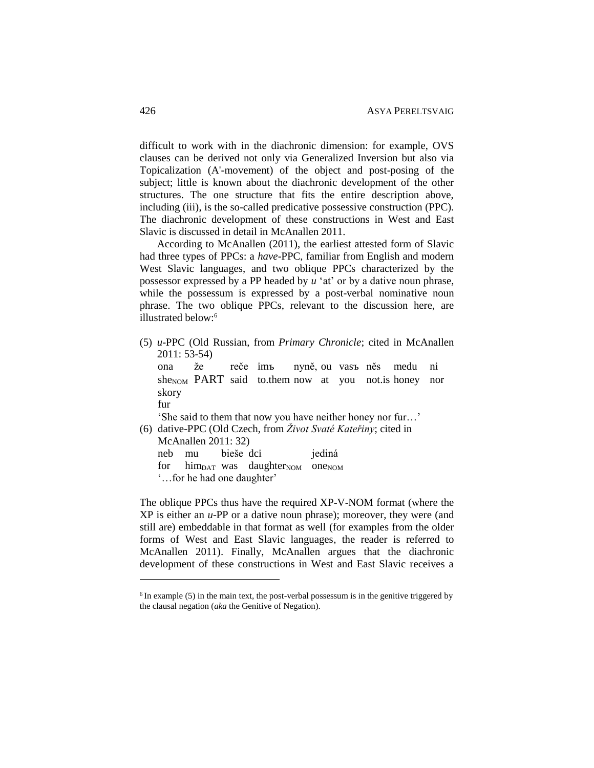difficult to work with in the diachronic dimension: for example, OVS clauses can be derived not only via Generalized Inversion but also via Topicalization (A'-movement) of the object and post-posing of the subject; little is known about the diachronic development of the other structures. The one structure that fits the entire description above, including (iii), is the so-called predicative possessive construction (PPC). The diachronic development of these constructions in West and East Slavic is discussed in detail in McAnallen 2011.

According to McAnallen (2011), the earliest attested form of Slavic had three types of PPCs: a *have*-PPC, familiar from English and modern West Slavic languages, and two oblique PPCs characterized by the possessor expressed by a PP headed by *u* 'at' or by a dative noun phrase, while the possessum is expressed by a post-verbal nominative noun phrase. The two oblique PPCs, relevant to the discussion here, are illustrated below:<sup>6</sup>

(5) *u*-PPC (Old Russian, from *Primary Chronicle*; cited in McAnallen 2011: 53-54)

ona že reče imъ nyně, ou vasъ něs medu ni she<sub>NOM</sub> PART said to.them now at you not is honey nor skory fur

'She said to them that now you have neither honey nor fur…' (6) dative-PPC (Old Czech, from *Život Svaté Kateřiny*; cited in McAnallen 2011: 32) neb mu bieše dci jediná

for him<sub>DAT</sub> was daughter<sub>NOM</sub> one<sub>NOM</sub>

'…for he had one daughter'

 $\overline{a}$ 

The oblique PPCs thus have the required XP-V-NOM format (where the XP is either an *u*-PP or a dative noun phrase); moreover, they were (and still are) embeddable in that format as well (for examples from the older forms of West and East Slavic languages, the reader is referred to McAnallen 2011). Finally, McAnallen argues that the diachronic development of these constructions in West and East Slavic receives a

 $6$  In example (5) in the main text, the post-verbal possessum is in the genitive triggered by the clausal negation (*aka* the Genitive of Negation).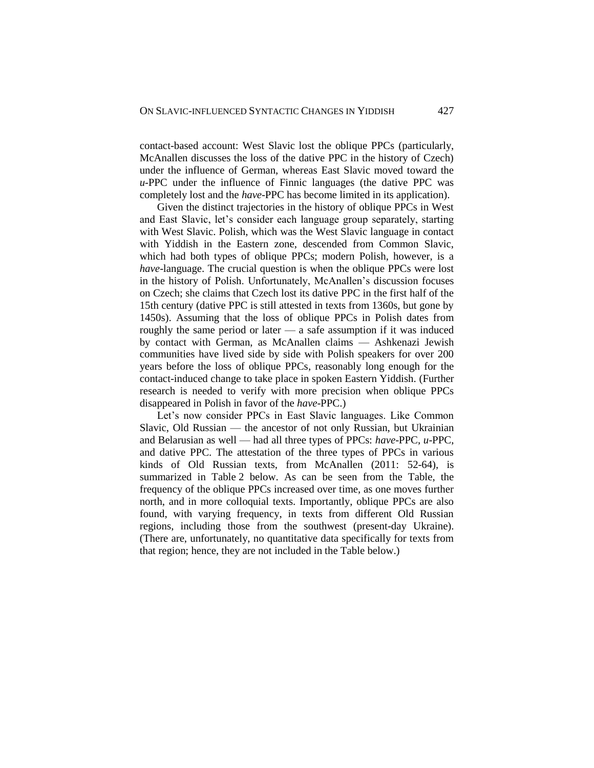contact-based account: West Slavic lost the oblique PPCs (particularly, McAnallen discusses the loss of the dative PPC in the history of Czech) under the influence of German, whereas East Slavic moved toward the *u*-PPC under the influence of Finnic languages (the dative PPC was completely lost and the *have*-PPC has become limited in its application).

Given the distinct trajectories in the history of oblique PPCs in West and East Slavic, let's consider each language group separately, starting with West Slavic. Polish, which was the West Slavic language in contact with Yiddish in the Eastern zone, descended from Common Slavic, which had both types of oblique PPCs; modern Polish, however, is a *have*-language. The crucial question is when the oblique PPCs were lost in the history of Polish. Unfortunately, McAnallen's discussion focuses on Czech; she claims that Czech lost its dative PPC in the first half of the 15th century (dative PPC is still attested in texts from 1360s, but gone by 1450s). Assuming that the loss of oblique PPCs in Polish dates from roughly the same period or later — a safe assumption if it was induced by contact with German, as McAnallen claims — Ashkenazi Jewish communities have lived side by side with Polish speakers for over 200 years before the loss of oblique PPCs, reasonably long enough for the contact-induced change to take place in spoken Eastern Yiddish. (Further research is needed to verify with more precision when oblique PPCs disappeared in Polish in favor of the *have*-PPC.)

Let's now consider PPCs in East Slavic languages. Like Common Slavic, Old Russian — the ancestor of not only Russian, but Ukrainian and Belarusian as well — had all three types of PPCs: *have*-PPC, *u*-PPC, and dative PPC. The attestation of the three types of PPCs in various kinds of Old Russian texts, from McAnallen (2011: 52-64), is summarized in Table 2 below. As can be seen from the Table, the frequency of the oblique PPCs increased over time, as one moves further north, and in more colloquial texts. Importantly, oblique PPCs are also found, with varying frequency, in texts from different Old Russian regions, including those from the southwest (present-day Ukraine). (There are, unfortunately, no quantitative data specifically for texts from that region; hence, they are not included in the Table below.)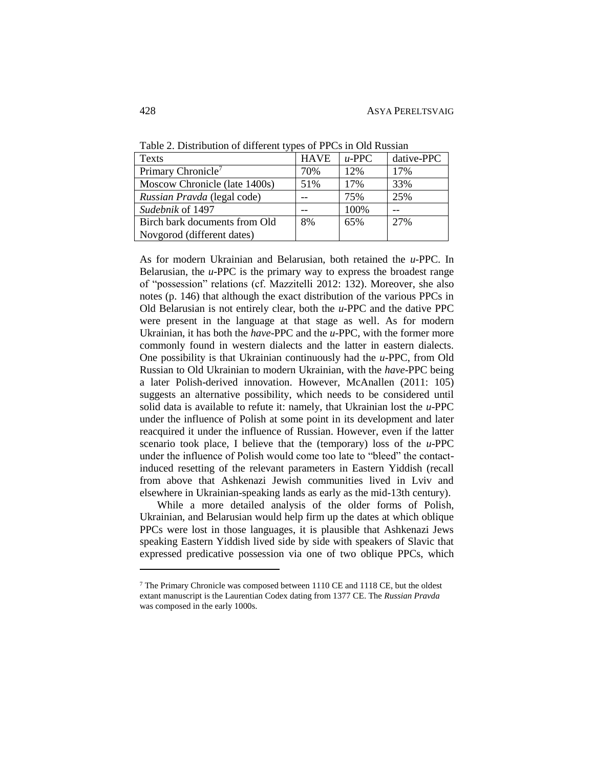| <b>HAVE</b><br>dative-PPC<br>$u$ -PPC |
|---------------------------------------|
| 12%<br>70%<br>17%                     |
| 17%<br>33%<br>51%                     |
| 25%<br>75%                            |
| 100%                                  |
| 65%<br>27%<br>8%                      |
|                                       |
|                                       |

Table 2. Distribution of different types of PPCs in Old Russian

As for modern Ukrainian and Belarusian, both retained the *u*-PPC. In Belarusian, the *u*-PPC is the primary way to express the broadest range of "possession" relations (cf. Mazzitelli 2012: 132). Moreover, she also notes (p. 146) that although the exact distribution of the various PPCs in Old Belarusian is not entirely clear, both the *u*-PPC and the dative PPC were present in the language at that stage as well. As for modern Ukrainian, it has both the *have*-PPC and the *u*-PPC, with the former more commonly found in western dialects and the latter in eastern dialects. One possibility is that Ukrainian continuously had the *u*-PPC, from Old Russian to Old Ukrainian to modern Ukrainian, with the *have*-PPC being a later Polish-derived innovation. However, McAnallen (2011: 105) suggests an alternative possibility, which needs to be considered until solid data is available to refute it: namely, that Ukrainian lost the *u*-PPC under the influence of Polish at some point in its development and later reacquired it under the influence of Russian. However, even if the latter scenario took place, I believe that the (temporary) loss of the *u*-PPC under the influence of Polish would come too late to "bleed" the contactinduced resetting of the relevant parameters in Eastern Yiddish (recall from above that Ashkenazi Jewish communities lived in Lviv and elsewhere in Ukrainian-speaking lands as early as the mid-13th century).

While a more detailed analysis of the older forms of Polish, Ukrainian, and Belarusian would help firm up the dates at which oblique PPCs were lost in those languages, it is plausible that Ashkenazi Jews speaking Eastern Yiddish lived side by side with speakers of Slavic that expressed predicative possession via one of two oblique PPCs, which

<sup>7</sup> The Primary Chronicle was composed between 1110 CE and 1118 CE, but the oldest extant manuscript is the Laurentian Codex dating from 1377 CE. The *Russian Pravda* was composed in the early 1000s.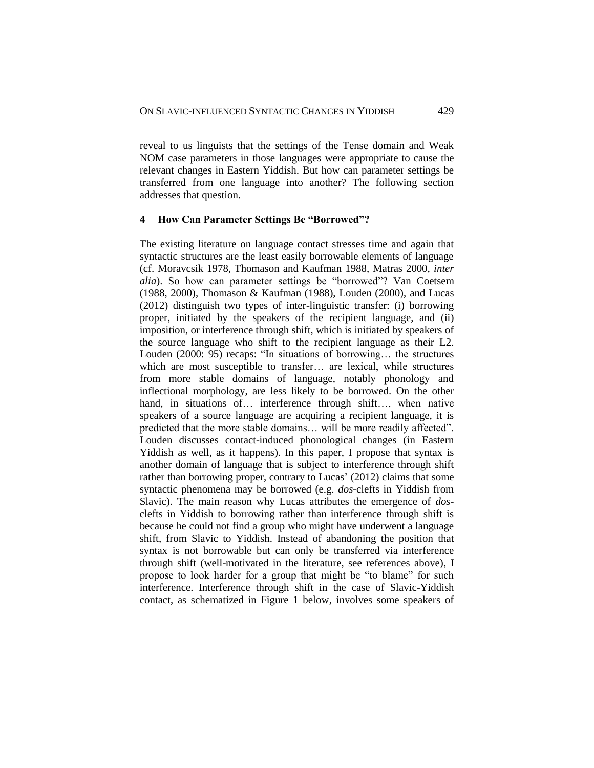reveal to us linguists that the settings of the Tense domain and Weak NOM case parameters in those languages were appropriate to cause the relevant changes in Eastern Yiddish. But how can parameter settings be transferred from one language into another? The following section addresses that question.

#### **4 How Can Parameter Settings Be "Borrowed"?**

The existing literature on language contact stresses time and again that syntactic structures are the least easily borrowable elements of language (cf. Moravcsik 1978, Thomason and Kaufman 1988, Matras 2000, *inter alia*). So how can parameter settings be "borrowed"? Van Coetsem (1988, 2000), Thomason & Kaufman (1988), Louden (2000), and Lucas (2012) distinguish two types of inter-linguistic transfer: (i) borrowing proper, initiated by the speakers of the recipient language, and (ii) imposition, or interference through shift, which is initiated by speakers of the source language who shift to the recipient language as their L2. Louden (2000: 95) recaps: "In situations of borrowing… the structures which are most susceptible to transfer… are lexical, while structures from more stable domains of language, notably phonology and inflectional morphology, are less likely to be borrowed. On the other hand, in situations of… interference through shift…, when native speakers of a source language are acquiring a recipient language, it is predicted that the more stable domains… will be more readily affected". Louden discusses contact-induced phonological changes (in Eastern Yiddish as well, as it happens). In this paper, I propose that syntax is another domain of language that is subject to interference through shift rather than borrowing proper, contrary to Lucas' (2012) claims that some syntactic phenomena may be borrowed (e.g. *dos*-clefts in Yiddish from Slavic). The main reason why Lucas attributes the emergence of *dos*clefts in Yiddish to borrowing rather than interference through shift is because he could not find a group who might have underwent a language shift, from Slavic to Yiddish. Instead of abandoning the position that syntax is not borrowable but can only be transferred via interference through shift (well-motivated in the literature, see references above), I propose to look harder for a group that might be "to blame" for such interference. Interference through shift in the case of Slavic-Yiddish contact, as schematized in Figure 1 below, involves some speakers of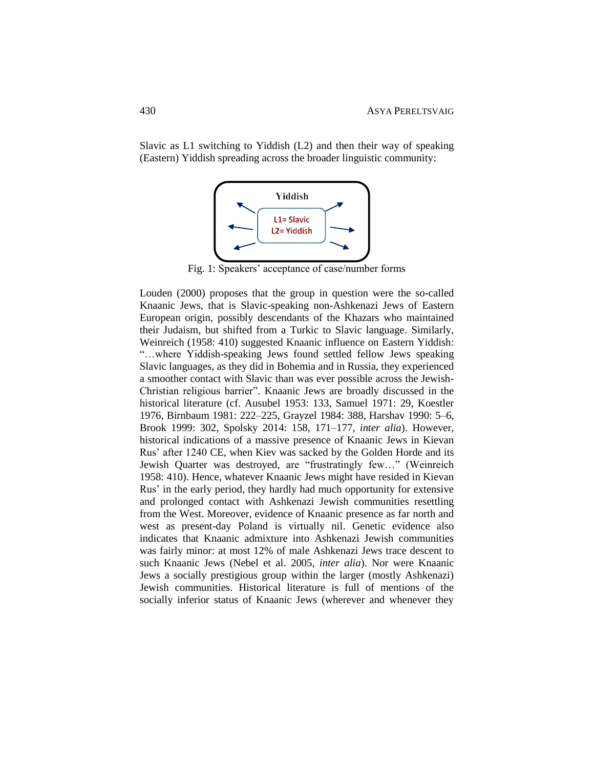Slavic as L1 switching to Yiddish (L2) and then their way of speaking (Eastern) Yiddish spreading across the broader linguistic community:



Fig. 1: Speakers' acceptance of case/number forms

Louden (2000) proposes that the group in question were the so-called Knaanic Jews, that is Slavic-speaking non-Ashkenazi Jews of Eastern European origin, possibly descendants of the Khazars who maintained their Judaism, but shifted from a Turkic to Slavic language. Similarly, Weinreich (1958: 410) suggested Knaanic influence on Eastern Yiddish: "…where Yiddish-speaking Jews found settled fellow Jews speaking Slavic languages, as they did in Bohemia and in Russia, they experienced a smoother contact with Slavic than was ever possible across the Jewish-Christian religious barrier". Knaanic Jews are broadly discussed in the historical literature (cf. Ausubel 1953: 133, Samuel 1971: 29, Koestler 1976, Birnbaum 1981: 222–225, Grayzel 1984: 388, Harshav 1990: 5–6, Brook 1999: 302, Spolsky 2014: 158, 171–177, *inter alia*). However, historical indications of a massive presence of Knaanic Jews in Kievan Rus' after 1240 CE, when Kiev was sacked by the Golden Horde and its Jewish Quarter was destroyed, are "frustratingly few…" (Weinreich 1958: 410). Hence, whatever Knaanic Jews might have resided in Kievan Rus' in the early period, they hardly had much opportunity for extensive and prolonged contact with Ashkenazi Jewish communities resettling from the West. Moreover, evidence of Knaanic presence as far north and west as present-day Poland is virtually nil. Genetic evidence also indicates that Knaanic admixture into Ashkenazi Jewish communities was fairly minor: at most 12% of male Ashkenazi Jews trace descent to such Knaanic Jews (Nebel et al. 2005, *inter alia*). Nor were Knaanic Jews a socially prestigious group within the larger (mostly Ashkenazi) Jewish communities. Historical literature is full of mentions of the socially inferior status of Knaanic Jews (wherever and whenever they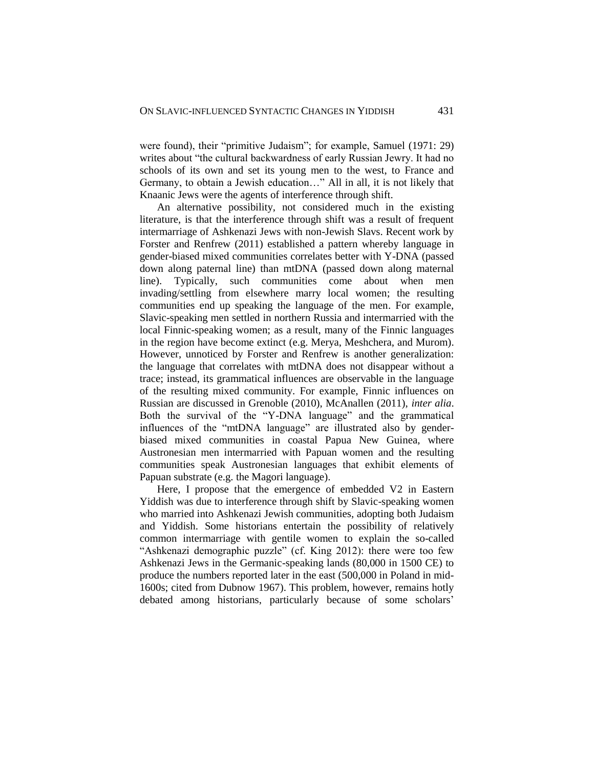were found), their "primitive Judaism"; for example, Samuel (1971: 29) writes about "the cultural backwardness of early Russian Jewry. It had no schools of its own and set its young men to the west, to France and Germany, to obtain a Jewish education…" All in all, it is not likely that Knaanic Jews were the agents of interference through shift.

An alternative possibility, not considered much in the existing literature, is that the interference through shift was a result of frequent intermarriage of Ashkenazi Jews with non-Jewish Slavs. Recent work by Forster and Renfrew (2011) established a pattern whereby language in gender-biased mixed communities correlates better with Y-DNA (passed down along paternal line) than mtDNA (passed down along maternal line). Typically, such communities come about when men invading/settling from elsewhere marry local women; the resulting communities end up speaking the language of the men. For example, Slavic-speaking men settled in northern Russia and intermarried with the local Finnic-speaking women; as a result, many of the Finnic languages in the region have become extinct (e.g. Merya, Meshchera, and Murom). However, unnoticed by Forster and Renfrew is another generalization: the language that correlates with mtDNA does not disappear without a trace; instead, its grammatical influences are observable in the language of the resulting mixed community. For example, Finnic influences on Russian are discussed in Grenoble (2010), McAnallen (2011), *inter alia*. Both the survival of the "Y-DNA language" and the grammatical influences of the "mtDNA language" are illustrated also by genderbiased mixed communities in coastal Papua New Guinea, where Austronesian men intermarried with Papuan women and the resulting communities speak Austronesian languages that exhibit elements of Papuan substrate (e.g. the Magori language).

Here, I propose that the emergence of embedded V2 in Eastern Yiddish was due to interference through shift by Slavic-speaking women who married into Ashkenazi Jewish communities, adopting both Judaism and Yiddish. Some historians entertain the possibility of relatively common intermarriage with gentile women to explain the so-called "Ashkenazi demographic puzzle" (cf. King 2012): there were too few Ashkenazi Jews in the Germanic-speaking lands (80,000 in 1500 CE) to produce the numbers reported later in the east (500,000 in Poland in mid-1600s; cited from Dubnow 1967). This problem, however, remains hotly debated among historians, particularly because of some scholars'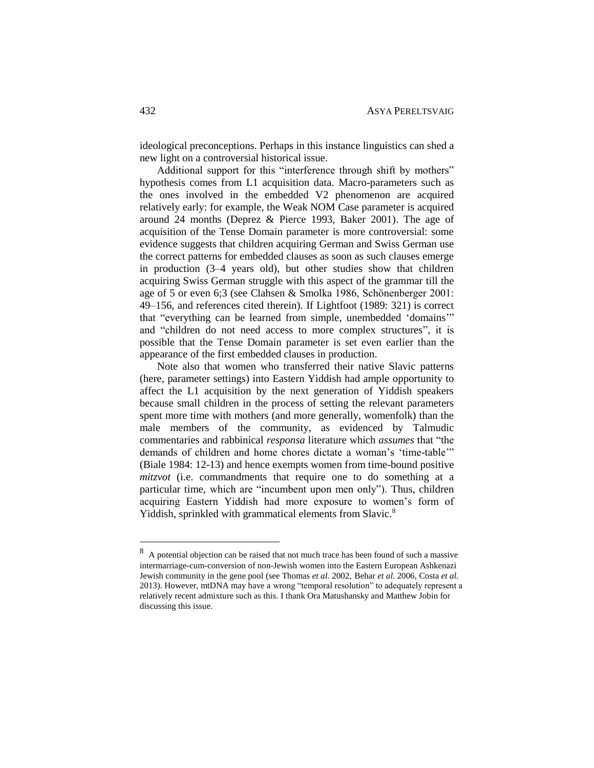ideological preconceptions. Perhaps in this instance linguistics can shed a new light on a controversial historical issue.

Additional support for this "interference through shift by mothers" hypothesis comes from L1 acquisition data. Macro-parameters such as the ones involved in the embedded V2 phenomenon are acquired relatively early: for example, the Weak NOM Case parameter is acquired around 24 months (Deprez & Pierce 1993, Baker 2001). The age of acquisition of the Tense Domain parameter is more controversial: some evidence suggests that children acquiring German and Swiss German use the correct patterns for embedded clauses as soon as such clauses emerge in production (3–4 years old), but other studies show that children acquiring Swiss German struggle with this aspect of the grammar till the age of 5 or even 6;3 (see Clahsen & Smolka 1986, Schönenberger 2001: 49–156, and references cited therein). If Lightfoot (1989: 321) is correct that "everything can be learned from simple, unembedded 'domains'" and "children do not need access to more complex structures", it is possible that the Tense Domain parameter is set even earlier than the appearance of the first embedded clauses in production.

Note also that women who transferred their native Slavic patterns (here, parameter settings) into Eastern Yiddish had ample opportunity to affect the L1 acquisition by the next generation of Yiddish speakers because small children in the process of setting the relevant parameters spent more time with mothers (and more generally, womenfolk) than the male members of the community, as evidenced by Talmudic commentaries and rabbinical *responsa* literature which *assumes* that "the demands of children and home chores dictate a woman's 'time-table'" (Biale 1984: 12-13) and hence exempts women from time-bound positive *mitzvot* (i.e. commandments that require one to do something at a particular time, which are "incumbent upon men only"). Thus, children acquiring Eastern Yiddish had more exposure to women's form of Yiddish, sprinkled with grammatical elements from Slavic.<sup>8</sup>

<sup>8</sup> A potential objection can be raised that not much trace has been found of such a massive intermarriage-cum-conversion of non-Jewish women into the Eastern European Ashkenazi Jewish community in the gene pool (see Thomas *et al.* 2002, Behar *et al.* 2006, Costa *et al.* 2013). However, mtDNA may have a wrong "temporal resolution" to adequately represent a relatively recent admixture such as this. I thank Ora Matushansky and Matthew Jobin for discussing this issue.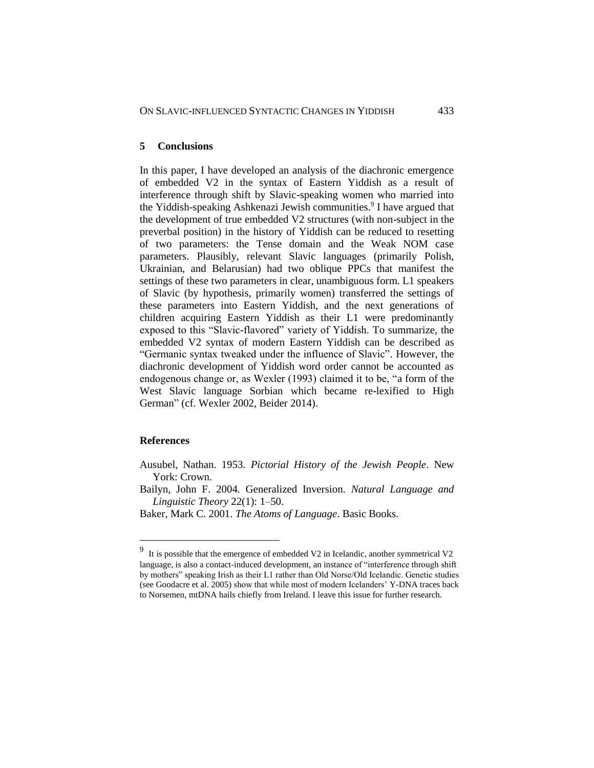## **5 Conclusions**

In this paper, I have developed an analysis of the diachronic emergence of embedded V2 in the syntax of Eastern Yiddish as a result of interference through shift by Slavic-speaking women who married into the Yiddish-speaking Ashkenazi Jewish communities.<sup>9</sup> I have argued that the development of true embedded V2 structures (with non-subject in the preverbal position) in the history of Yiddish can be reduced to resetting of two parameters: the Tense domain and the Weak NOM case parameters. Plausibly, relevant Slavic languages (primarily Polish, Ukrainian, and Belarusian) had two oblique PPCs that manifest the settings of these two parameters in clear, unambiguous form. L1 speakers of Slavic (by hypothesis, primarily women) transferred the settings of these parameters into Eastern Yiddish, and the next generations of children acquiring Eastern Yiddish as their L1 were predominantly exposed to this "Slavic-flavored" variety of Yiddish. To summarize, the embedded V2 syntax of modern Eastern Yiddish can be described as "Germanic syntax tweaked under the influence of Slavic". However, the diachronic development of Yiddish word order cannot be accounted as endogenous change or, as Wexler (1993) claimed it to be, "a form of the West Slavic language Sorbian which became re-lexified to High German" (cf. Wexler 2002, Beider 2014).

## **References**

Ausubel, Nathan. 1953. *Pictorial History of the Jewish People*. New York: Crown.

Bailyn, John F. 2004. Generalized Inversion. *Natural Language and Linguistic Theory* 22(1): 1–50.

Baker, Mark C. 2001. *The Atoms of Language*. Basic Books.

<sup>9</sup> It is possible that the emergence of embedded V2 in Icelandic, another symmetrical V2 language, is also a contact-induced development, an instance of "interference through shift by mothers" speaking Irish as their L1 rather than Old Norse/Old Icelandic. Genetic studies (see Goodacre et al. 2005) show that while most of modern Icelanders' Y-DNA traces back to Norsemen, mtDNA hails chiefly from Ireland. I leave this issue for further research.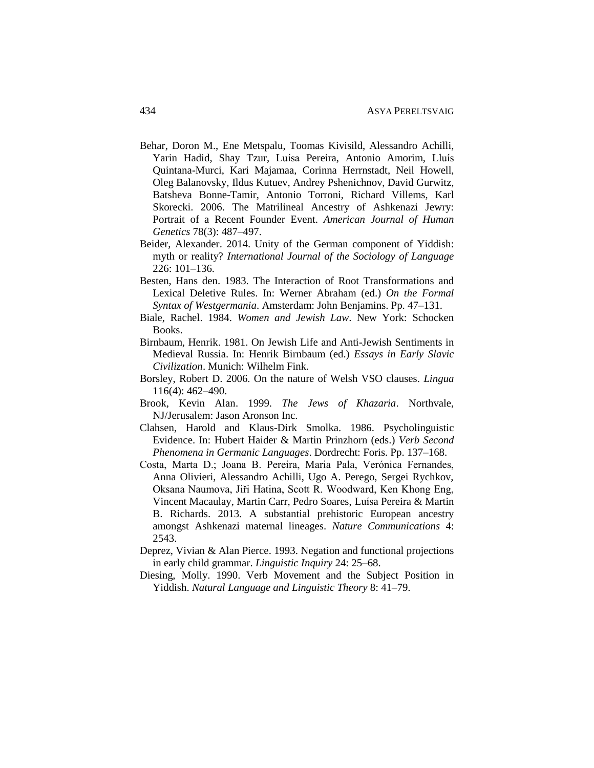- Behar, Doron M., Ene Metspalu, Toomas Kivisild, Alessandro Achilli, Yarin Hadid, Shay Tzur, Luísa Pereira, Antonio Amorim, Lluís Quintana-Murci, Kari Majamaa, Corinna Herrnstadt, Neil Howell, Oleg Balanovsky, Ildus Kutuev, Andrey Pshenichnov, David Gurwitz, Batsheva Bonne-Tamir, Antonio Torroni, Richard Villems, Karl Skorecki. 2006. The Matrilineal Ancestry of Ashkenazi Jewry: Portrait of a Recent Founder Event. *American Journal of Human Genetics* 78(3): 487–497.
- Beider, Alexander. 2014. Unity of the German component of Yiddish: myth or reality? *International Journal of the Sociology of Language* 226: 101–136.
- Besten, Hans den. 1983. The Interaction of Root Transformations and Lexical Deletive Rules. In: Werner Abraham (ed.) *On the Formal Syntax of Westgermania*. Amsterdam: John Benjamins. Pp. 47–131.
- Biale, Rachel. 1984. *Women and Jewish Law*. New York: Schocken Books.
- Birnbaum, Henrik. 1981. On Jewish Life and Anti-Jewish Sentiments in Medieval Russia. In: Henrik Birnbaum (ed.) *Essays in Early Slavic Civilization*. Munich: Wilhelm Fink.
- Borsley, Robert D. 2006. On the nature of Welsh VSO clauses. *Lingua* 116(4): 462–490.
- Brook, Kevin Alan. 1999. *The Jews of Khazaria*. Northvale, NJ/Jerusalem: Jason Aronson Inc.
- Clahsen, Harold and Klaus-Dirk Smolka. 1986. Psycholinguistic Evidence. In: Hubert Haider & Martin Prinzhorn (eds.) *Verb Second Phenomena in Germanic Languages*. Dordrecht: Foris. Pp. 137–168.
- Costa, Marta D.; Joana B. Pereira, Maria Pala, Verónica Fernandes, Anna Olivieri, Alessandro Achilli, Ugo A. Perego, Sergei Rychkov, Oksana Naumova, Jiři Hatina, Scott R. Woodward, Ken Khong Eng, Vincent Macaulay, Martin Carr, Pedro Soares, Luísa Pereira & Martin B. Richards. 2013. A substantial prehistoric European ancestry amongst Ashkenazi maternal lineages. *Nature Communications* 4: 2543.
- Deprez, Vivian & Alan Pierce. 1993. Negation and functional projections in early child grammar. *Linguistic Inquiry* 24: 25–68.
- Diesing, Molly. 1990. Verb Movement and the Subject Position in Yiddish. *Natural Language and Linguistic Theory* 8: 41–79.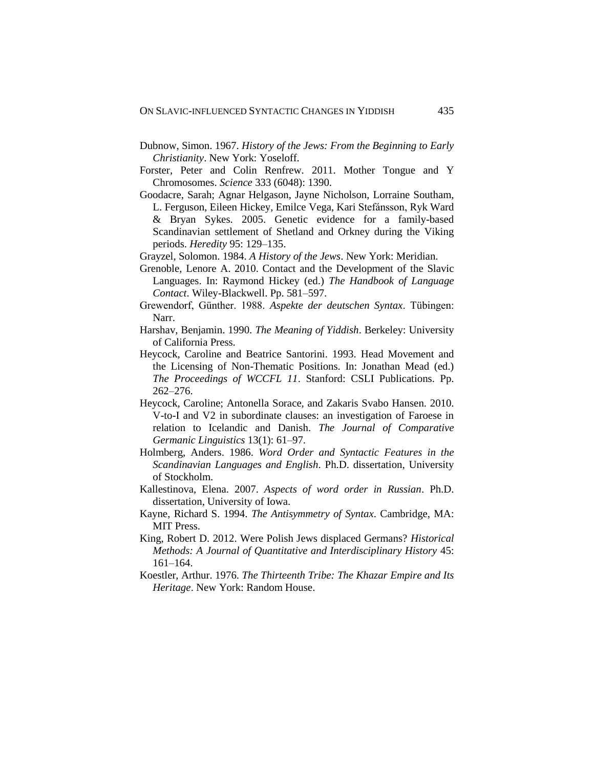- Dubnow, Simon. 1967. *History of the Jews: From the Beginning to Early Christianity*. New York: Yoseloff.
- Forster, Peter and Colin Renfrew. 2011. Mother Tongue and Y Chromosomes. *Science* 333 (6048): 1390.
- Goodacre, Sarah; Agnar Helgason, Jayne Nicholson, Lorraine Southam, L. Ferguson, Eileen Hickey, Emilce Vega, Kari Stefánsson, Ryk Ward & Bryan Sykes. 2005. Genetic evidence for a family-based Scandinavian settlement of Shetland and Orkney during the Viking periods. *Heredity* 95: 129–135.
- Grayzel, Solomon. 1984. *A History of the Jews*. New York: Meridian.
- Grenoble, Lenore A. 2010. Contact and the Development of the Slavic Languages. In: Raymond Hickey (ed.) *The Handbook of Language Contact*. Wiley-Blackwell. Pp. 581–597.
- Grewendorf, Günther. 1988. *Aspekte der deutschen Syntax*. Tübingen: Narr.
- Harshav, Benjamin. 1990. *The Meaning of Yiddish*. Berkeley: University of California Press.
- Heycock, Caroline and Beatrice Santorini. 1993. Head Movement and the Licensing of Non-Thematic Positions. In: Jonathan Mead (ed.) *The Proceedings of WCCFL 11*. Stanford: CSLI Publications. Pp. 262–276.
- Heycock, Caroline; Antonella Sorace, and Zakaris Svabo Hansen. 2010. V-to-I and V2 in subordinate clauses: an investigation of Faroese in relation to Icelandic and Danish. *The Journal of Comparative Germanic Linguistics* 13(1): 61–97.
- Holmberg, Anders. 1986. *Word Order and Syntactic Features in the Scandinavian Languages and English*. Ph.D. dissertation, University of Stockholm.
- Kallestinova, Elena. 2007. *Aspects of word order in Russian*. Ph.D. dissertation, University of Iowa.
- Kayne, Richard S. 1994. *The Antisymmetry of Syntax*. Cambridge, MA: MIT Press.
- King, Robert D. 2012. Were Polish Jews displaced Germans? *Historical Methods: A Journal of Quantitative and Interdisciplinary History* 45: 161–164.
- Koestler, Arthur. 1976. *The Thirteenth Tribe: The Khazar Empire and Its Heritage*. New York: Random House.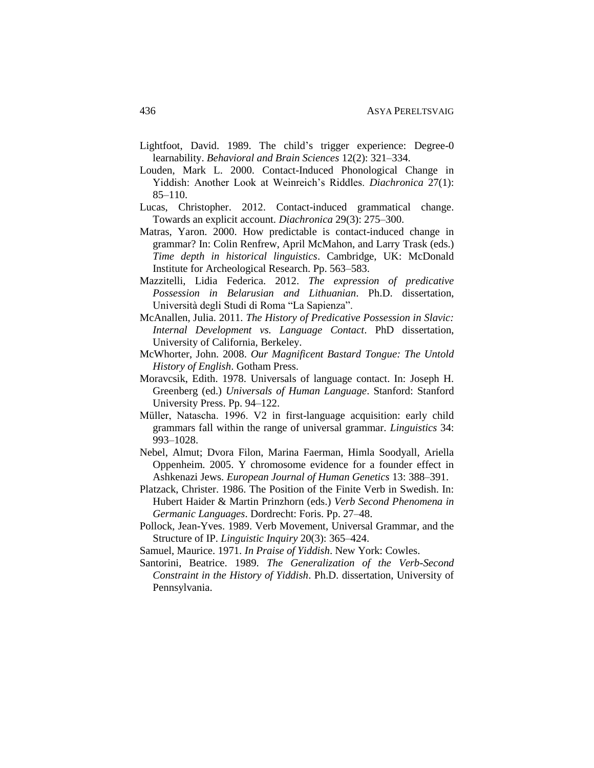- Lightfoot, David. 1989. The child's trigger experience: Degree-0 learnability. *Behavioral and Brain Sciences* 12(2): 321–334.
- Louden, Mark L. 2000. Contact-Induced Phonological Change in Yiddish: Another Look at Weinreich's Riddles. *Diachronica* 27(1): 85–110.
- Lucas, Christopher. 2012. Contact-induced grammatical change. Towards an explicit account. *Diachronica* 29(3): 275–300.
- Matras, Yaron. 2000. How predictable is contact-induced change in grammar? In: Colin Renfrew, April McMahon, and Larry Trask (eds.) *Time depth in historical linguistics*. Cambridge, UK: McDonald Institute for Archeological Research. Pp. 563–583.
- Mazzitelli, Lidia Federica. 2012. *The expression of predicative Possession in Belarusian and Lithuanian*. Ph.D. dissertation, Università degli Studi di Roma "La Sapienza".
- McAnallen, Julia. 2011. *The History of Predicative Possession in Slavic: Internal Development vs. Language Contact*. PhD dissertation, University of California, Berkeley.
- McWhorter, John. 2008. *Our Magnificent Bastard Tongue: The Untold History of English*. Gotham Press.
- Moravcsik, Edith. 1978. Universals of language contact. In: Joseph H. Greenberg (ed.) *Universals of Human Language*. Stanford: Stanford University Press. Pp. 94–122.
- Müller, Natascha. 1996. V2 in first-language acquisition: early child grammars fall within the range of universal grammar. *Linguistics* 34: 993–1028.
- Nebel, Almut; Dvora Filon, Marina Faerman, Himla Soodyall, Ariella Oppenheim. 2005. Y chromosome evidence for a founder effect in Ashkenazi Jews. *European Journal of Human Genetics* 13: 388–391.
- Platzack, Christer. 1986. The Position of the Finite Verb in Swedish. In: Hubert Haider & Martin Prinzhorn (eds.) *Verb Second Phenomena in Germanic Languages*. Dordrecht: Foris. Pp. 27–48.
- Pollock, Jean-Yves. 1989. Verb Movement, Universal Grammar, and the Structure of IP. *Linguistic Inquiry* 20(3): 365–424.
- Samuel, Maurice. 1971. *In Praise of Yiddish*. New York: Cowles.
- Santorini, Beatrice. 1989. *The Generalization of the Verb-Second Constraint in the History of Yiddish*. Ph.D. dissertation, University of Pennsylvania.